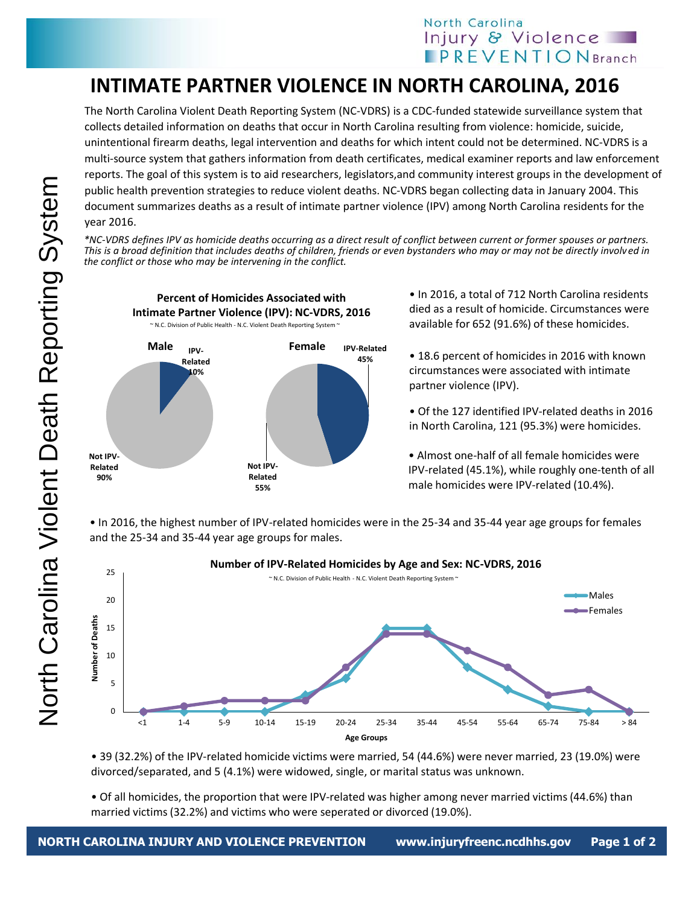## North Carolina Injury & Violence **IPREVENTIONBranch**

## **INTIMATE PARTNER VIOLENCE IN NORTH CAROLINA, 2016**

The North Carolina Violent Death Reporting System (NC-VDRS) is a CDC-funded statewide surveillance system that collects detailed information on deaths that occur in North Carolina resulting from violence: homicide, suicide, unintentional firearm deaths, legal intervention and deaths for which intent could not be determined. NC-VDRS is a multi-source system that gathers information from death certificates, medical examiner reports and law enforcement reports. The goal of this system is to aid researchers, legislators,and community interest groups in the development of public health prevention strategies to reduce violent deaths. NC-VDRS began collecting data in January 2004. This document summarizes deaths as a result of intimate partner violence (IPV) among North Carolina residents for the year 2016.

*\*NC-VDRS defines IPV as homicide deaths occurring as a direct result of conflict between current or former spouses or partners. This is a broad definition that includes deaths of children, friends or even bystanders who may or may not be directly involved in the conflict or those who may be intervening in the conflict.* 



• In 2016, a total of 712 North Carolina residents died as a result of homicide. Circumstances were available for 652 (91.6%) of these homicides.

• 18.6 percent of homicides in 2016 with known circumstances were associated with intimate partner violence (IPV).

• Of the 127 identified IPV-related deaths in 2016 in North Carolina, 121 (95.3%) were homicides.

• Almost one-half of all female homicides were IPV-related (45.1%), while roughly one-tenth of all male homicides were IPV-related (10.4%).

• In 2016, the highest number of IPV-related homicides were in the 25-34 and 35-44 year age groups for females and the 25-34 and 35-44 year age groups for males.



• 39 (32.2%) of the IPV-related homicide victims were married, 54 (44.6%) were never married, 23 (19.0%) were divorced/separated, and 5 (4.1%) were widowed, single, or marital status was unknown.

• Of all homicides, the proportion that were IPV-related was higher among never married victims (44.6%) than married victims (32.2%) and victims who were seperated or divorced (19.0%).